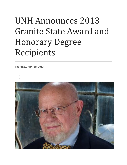## UNH Announces 2013 Granite State Award and Honorary Degree Recipients

**Thursday, April 18, 2013**

- •
- •
- •

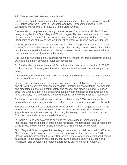Fritz Wetherbee, 2013 Granite State Award

For their significant contributions to the state and its people, the Running Nuns from the St. Charles Children's Home in Rochester, and New Hampshire storyteller Fritz Wetherbee will receive UNH's 2013 Granite State Awards.

The awards will be presented during commencement Saturday, May 18, 2013. Also being recognized are Gov. Margaret Wood "Maggie" Hassan, commencement speaker Lt. Gen. Mary A. Legere '82, and former chairman of the University System of New Hampshire board of trustees Andrew Lietz, all of whom will receive honorary degrees.

In 1996, Sister Maximilian Cote founded the Running Nuns program at the St. Charles Children's Home in Rochester. St. Charles provides a safe, nurturing setting for children who have severe behavioral issues. Some of these children have been removed from their homes because of trauma in the family.

The Running Nuns use a daily exercise regimen to channel children's energy in positive ways and help them develop greater self-confidence.

St. Charles also sponsors an annual 5k road race that has raised more than \$155,000 for the home, and has engaged the wider community in the health benefits of physical activity.

Fritz Wetherbee, an Emmy award-winning writer and television host, has been dubbed "the voice of New Hampshire."

During a career spanning a half-century, Wetherbee has established a reputation as one of New Hampshire's premiere storytellers. Although he has written for newspapers and magazines, done radio commentary and reports, and made films and TV shows about the Granite State, he is best known as the writer and host of programs such as N.H. Chronicle, Fritz Wetherbee's New Hampshire, and New Hampshire Crossroads.

By his own count, Wetherbee has produced no fewer than 2,000 stories about his beloved home state through his books and television programs. He resides in Acworth.

A native of Dover and 1982 graduate of UNH, Lt. Gen. Mary A. Legere is a U.S. Army veteran whose military career spans three decades and includes tours in Germany, the Republic of Korea, Bosnia-Herzegovina, Iraq, the Pentagon, and other U.S. stations. She has commanded at every level of the Army.

In April 2012, she was selected to serve as the Army's deputy chief of staff for intelligence, responsible for overseeing the readiness, modernization, and development of the 58,000 soldiers and civilians in the Army's military intelligence corps.

Gov. Margaret Wood "Maggie" Hassan began her career in public service in 1999 when Gov. Jeanne Shaheen asked her to serve as an advocate for education. In 2004, Hassan won her first seat in the New Hampshire Senate, where she established herself as a leader in the areas of job creation, improving access to quality education and healthcare, and developing a regional approach to environmental protection.